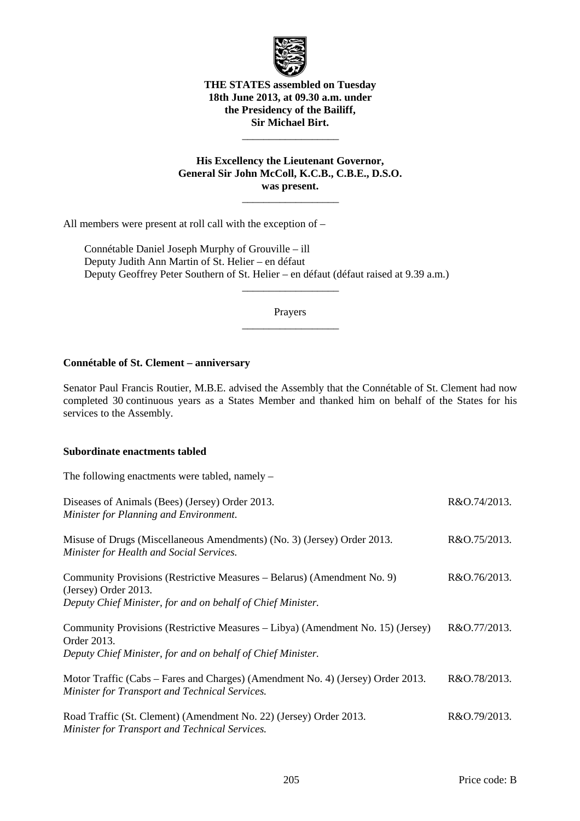

### **THE STATES assembled on Tuesday 18th June 2013, at 09.30 a.m. under the Presidency of the Bailiff, Sir Michael Birt.**

 $\frac{1}{\sqrt{2\pi}}\left[\frac{1}{\sqrt{2\pi}}\frac{1}{\sqrt{2\pi}}\frac{1}{\sqrt{2\pi}}\frac{1}{\sqrt{2\pi}}\frac{1}{\sqrt{2\pi}}\frac{1}{\sqrt{2\pi}}\frac{1}{\sqrt{2\pi}}\frac{1}{\sqrt{2\pi}}\frac{1}{\sqrt{2\pi}}\frac{1}{\sqrt{2\pi}}\frac{1}{\sqrt{2\pi}}\frac{1}{\sqrt{2\pi}}\frac{1}{\sqrt{2\pi}}\frac{1}{\sqrt{2\pi}}\frac{1}{\sqrt{2\pi}}\frac{1}{\sqrt{2\pi}}\frac{1}{\sqrt{2\pi}}\frac$ 

**His Excellency the Lieutenant Governor, General Sir John McColl, K.C.B., C.B.E., D.S.O. was present.** 

 $\frac{1}{\sqrt{2\pi}}\left[\frac{1}{\sqrt{2\pi}}\frac{1}{\sqrt{2\pi}}\frac{1}{\sqrt{2\pi}}\frac{1}{\sqrt{2\pi}}\frac{1}{\sqrt{2\pi}}\frac{1}{\sqrt{2\pi}}\frac{1}{\sqrt{2\pi}}\frac{1}{\sqrt{2\pi}}\frac{1}{\sqrt{2\pi}}\frac{1}{\sqrt{2\pi}}\frac{1}{\sqrt{2\pi}}\frac{1}{\sqrt{2\pi}}\frac{1}{\sqrt{2\pi}}\frac{1}{\sqrt{2\pi}}\frac{1}{\sqrt{2\pi}}\frac{1}{\sqrt{2\pi}}\frac{1}{\sqrt{2\pi}}\frac$ 

All members were present at roll call with the exception of –

 Connétable Daniel Joseph Murphy of Grouville – ill Deputy Judith Ann Martin of St. Helier – en défaut Deputy Geoffrey Peter Southern of St. Helier – en défaut (défaut raised at 9.39 a.m.)

> Prayers  $\frac{1}{\sqrt{2\pi}}\left[\frac{1}{\sqrt{2\pi}}\frac{1}{\sqrt{2\pi}}\frac{1}{\sqrt{2\pi}}\frac{1}{\sqrt{2\pi}}\frac{1}{\sqrt{2\pi}}\frac{1}{\sqrt{2\pi}}\frac{1}{\sqrt{2\pi}}\frac{1}{\sqrt{2\pi}}\frac{1}{\sqrt{2\pi}}\frac{1}{\sqrt{2\pi}}\frac{1}{\sqrt{2\pi}}\frac{1}{\sqrt{2\pi}}\frac{1}{\sqrt{2\pi}}\frac{1}{\sqrt{2\pi}}\frac{1}{\sqrt{2\pi}}\frac{1}{\sqrt{2\pi}}\frac{1}{\sqrt{2\pi}}\frac$

> $\frac{1}{\sqrt{2\pi}}\left[\frac{1}{\sqrt{2\pi}}\frac{1}{\sqrt{2\pi}}\frac{1}{\sqrt{2\pi}}\frac{1}{\sqrt{2\pi}}\frac{1}{\sqrt{2\pi}}\frac{1}{\sqrt{2\pi}}\frac{1}{\sqrt{2\pi}}\frac{1}{\sqrt{2\pi}}\frac{1}{\sqrt{2\pi}}\frac{1}{\sqrt{2\pi}}\frac{1}{\sqrt{2\pi}}\frac{1}{\sqrt{2\pi}}\frac{1}{\sqrt{2\pi}}\frac{1}{\sqrt{2\pi}}\frac{1}{\sqrt{2\pi}}\frac{1}{\sqrt{2\pi}}\frac{1}{\sqrt{2\pi}}\frac$

### **Connétable of St. Clement – anniversary**

Senator Paul Francis Routier, M.B.E. advised the Assembly that the Connétable of St. Clement had now completed 30 continuous years as a States Member and thanked him on behalf of the States for his services to the Assembly.

### **Subordinate enactments tabled**

The following enactments were tabled, namely –

| Diseases of Animals (Bees) (Jersey) Order 2013.<br>Minister for Planning and Environment.                                                                      | R&O.74/2013. |
|----------------------------------------------------------------------------------------------------------------------------------------------------------------|--------------|
| Misuse of Drugs (Miscellaneous Amendments) (No. 3) (Jersey) Order 2013.<br>Minister for Health and Social Services.                                            | R&O.75/2013. |
| Community Provisions (Restrictive Measures – Belarus) (Amendment No. 9)<br>(Jersey) Order 2013.<br>Deputy Chief Minister, for and on behalf of Chief Minister. | R&O.76/2013. |
| Community Provisions (Restrictive Measures – Libya) (Amendment No. 15) (Jersey)<br>Order 2013.<br>Deputy Chief Minister, for and on behalf of Chief Minister.  | R&O.77/2013. |
| Motor Traffic (Cabs – Fares and Charges) (Amendment No. 4) (Jersey) Order 2013.<br>Minister for Transport and Technical Services.                              | R&O.78/2013. |
| Road Traffic (St. Clement) (Amendment No. 22) (Jersey) Order 2013.<br>Minister for Transport and Technical Services.                                           | R&O.79/2013. |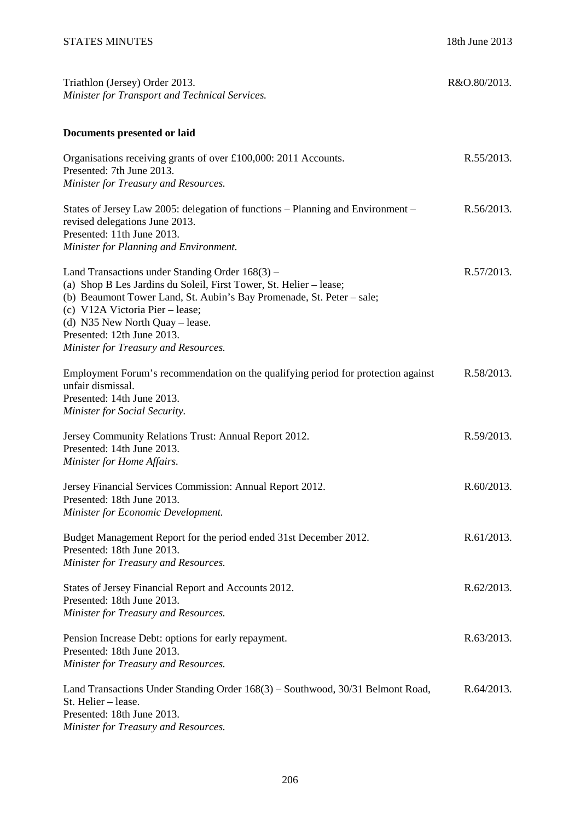| Triathlon (Jersey) Order 2013.<br>Minister for Transport and Technical Services.                                                                                                                                                                                                                                                             | R&O.80/2013. |
|----------------------------------------------------------------------------------------------------------------------------------------------------------------------------------------------------------------------------------------------------------------------------------------------------------------------------------------------|--------------|
| Documents presented or laid                                                                                                                                                                                                                                                                                                                  |              |
| Organisations receiving grants of over £100,000: 2011 Accounts.<br>Presented: 7th June 2013.<br>Minister for Treasury and Resources.                                                                                                                                                                                                         | R.55/2013.   |
| States of Jersey Law 2005: delegation of functions – Planning and Environment –<br>revised delegations June 2013.<br>Presented: 11th June 2013.<br>Minister for Planning and Environment.                                                                                                                                                    | R.56/2013.   |
| Land Transactions under Standing Order $168(3)$ –<br>(a) Shop B Les Jardins du Soleil, First Tower, St. Helier – lease;<br>(b) Beaumont Tower Land, St. Aubin's Bay Promenade, St. Peter – sale;<br>(c) V12A Victoria Pier – lease;<br>(d) N35 New North Quay – lease.<br>Presented: 12th June 2013.<br>Minister for Treasury and Resources. | R.57/2013.   |
| Employment Forum's recommendation on the qualifying period for protection against<br>unfair dismissal.<br>Presented: 14th June 2013.<br>Minister for Social Security.                                                                                                                                                                        | R.58/2013.   |
| Jersey Community Relations Trust: Annual Report 2012.<br>Presented: 14th June 2013.<br>Minister for Home Affairs.                                                                                                                                                                                                                            | R.59/2013.   |
| Jersey Financial Services Commission: Annual Report 2012.<br>Presented: 18th June 2013.<br>Minister for Economic Development.                                                                                                                                                                                                                | R.60/2013.   |
| Budget Management Report for the period ended 31st December 2012.<br>Presented: 18th June 2013.<br>Minister for Treasury and Resources.                                                                                                                                                                                                      | R.61/2013.   |
| States of Jersey Financial Report and Accounts 2012.<br>Presented: 18th June 2013.<br>Minister for Treasury and Resources.                                                                                                                                                                                                                   | R.62/2013.   |
| Pension Increase Debt: options for early repayment.<br>Presented: 18th June 2013.<br>Minister for Treasury and Resources.                                                                                                                                                                                                                    | R.63/2013.   |
| Land Transactions Under Standing Order 168(3) – Southwood, 30/31 Belmont Road,<br>St. Helier - lease.<br>Presented: 18th June 2013.                                                                                                                                                                                                          | R.64/2013.   |

*Minister for Treasury and Resources.*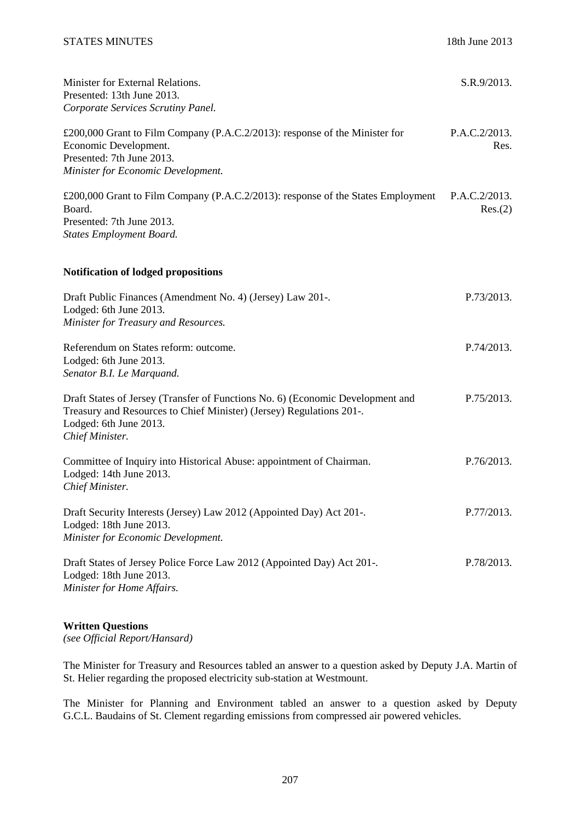| Minister for External Relations.<br>Presented: 13th June 2013.<br>Corporate Services Scrutiny Panel.                                                                                                | S.R.9/2013.              |
|-----------------------------------------------------------------------------------------------------------------------------------------------------------------------------------------------------|--------------------------|
| £200,000 Grant to Film Company (P.A.C.2/2013): response of the Minister for<br>Economic Development.<br>Presented: 7th June 2013.<br>Minister for Economic Development.                             | P.A.C.2/2013.<br>Res.    |
| £200,000 Grant to Film Company (P.A.C.2/2013): response of the States Employment<br>Board.<br>Presented: 7th June 2013.<br><b>States Employment Board.</b>                                          | P.A.C.2/2013.<br>Res.(2) |
| Notification of lodged propositions                                                                                                                                                                 |                          |
| Draft Public Finances (Amendment No. 4) (Jersey) Law 201-.<br>Lodged: 6th June 2013.<br>Minister for Treasury and Resources.                                                                        | P.73/2013.               |
| Referendum on States reform: outcome.<br>Lodged: 6th June 2013.<br>Senator B.I. Le Marquand.                                                                                                        | P.74/2013.               |
| Draft States of Jersey (Transfer of Functions No. 6) (Economic Development and<br>Treasury and Resources to Chief Minister) (Jersey) Regulations 201-.<br>Lodged: 6th June 2013.<br>Chief Minister. | P.75/2013.               |
| Committee of Inquiry into Historical Abuse: appointment of Chairman.<br>Lodged: 14th June 2013.<br>Chief Minister.                                                                                  | P.76/2013.               |
| Draft Security Interests (Jersey) Law 2012 (Appointed Day) Act 201-.<br>Lodged: 18th June 2013.<br>Minister for Economic Development.                                                               | P.77/2013.               |
| Draft States of Jersey Police Force Law 2012 (Appointed Day) Act 201-.<br>Lodged: 18th June 2013.<br>Minister for Home Affairs.                                                                     | P.78/2013.               |

### **Written Questions**

*(see Official Report/Hansard)* 

The Minister for Treasury and Resources tabled an answer to a question asked by Deputy J.A. Martin of St. Helier regarding the proposed electricity sub-station at Westmount.

The Minister for Planning and Environment tabled an answer to a question asked by Deputy G.C.L. Baudains of St. Clement regarding emissions from compressed air powered vehicles.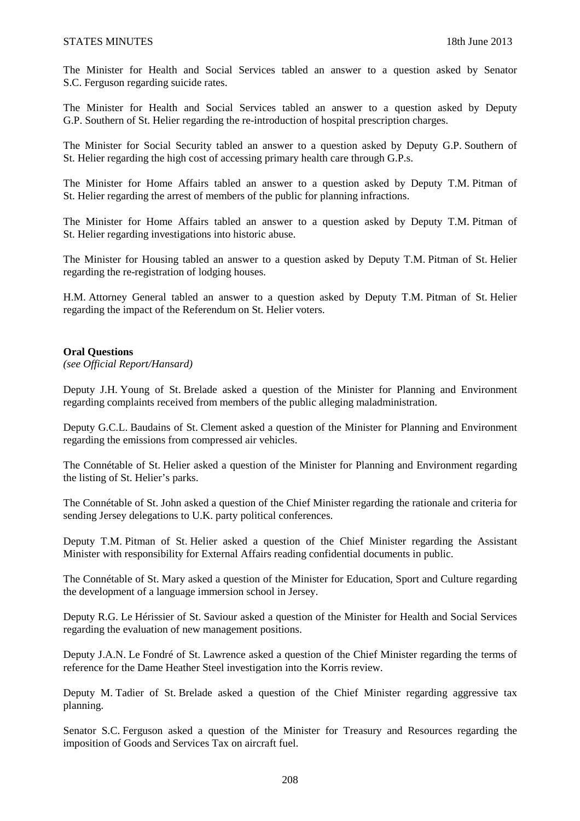The Minister for Health and Social Services tabled an answer to a question asked by Senator S.C. Ferguson regarding suicide rates.

The Minister for Health and Social Services tabled an answer to a question asked by Deputy G.P. Southern of St. Helier regarding the re-introduction of hospital prescription charges.

The Minister for Social Security tabled an answer to a question asked by Deputy G.P. Southern of St. Helier regarding the high cost of accessing primary health care through G.P.s.

The Minister for Home Affairs tabled an answer to a question asked by Deputy T.M. Pitman of St. Helier regarding the arrest of members of the public for planning infractions.

The Minister for Home Affairs tabled an answer to a question asked by Deputy T.M. Pitman of St. Helier regarding investigations into historic abuse.

The Minister for Housing tabled an answer to a question asked by Deputy T.M. Pitman of St. Helier regarding the re-registration of lodging houses.

H.M. Attorney General tabled an answer to a question asked by Deputy T.M. Pitman of St. Helier regarding the impact of the Referendum on St. Helier voters.

### **Oral Questions**

*(see Official Report/Hansard)* 

Deputy J.H. Young of St. Brelade asked a question of the Minister for Planning and Environment regarding complaints received from members of the public alleging maladministration.

Deputy G.C.L. Baudains of St. Clement asked a question of the Minister for Planning and Environment regarding the emissions from compressed air vehicles.

The Connétable of St. Helier asked a question of the Minister for Planning and Environment regarding the listing of St. Helier's parks.

The Connétable of St. John asked a question of the Chief Minister regarding the rationale and criteria for sending Jersey delegations to U.K. party political conferences.

Deputy T.M. Pitman of St. Helier asked a question of the Chief Minister regarding the Assistant Minister with responsibility for External Affairs reading confidential documents in public.

The Connétable of St. Mary asked a question of the Minister for Education, Sport and Culture regarding the development of a language immersion school in Jersey.

Deputy R.G. Le Hérissier of St. Saviour asked a question of the Minister for Health and Social Services regarding the evaluation of new management positions.

Deputy J.A.N. Le Fondré of St. Lawrence asked a question of the Chief Minister regarding the terms of reference for the Dame Heather Steel investigation into the Korris review.

Deputy M. Tadier of St. Brelade asked a question of the Chief Minister regarding aggressive tax planning.

Senator S.C. Ferguson asked a question of the Minister for Treasury and Resources regarding the imposition of Goods and Services Tax on aircraft fuel.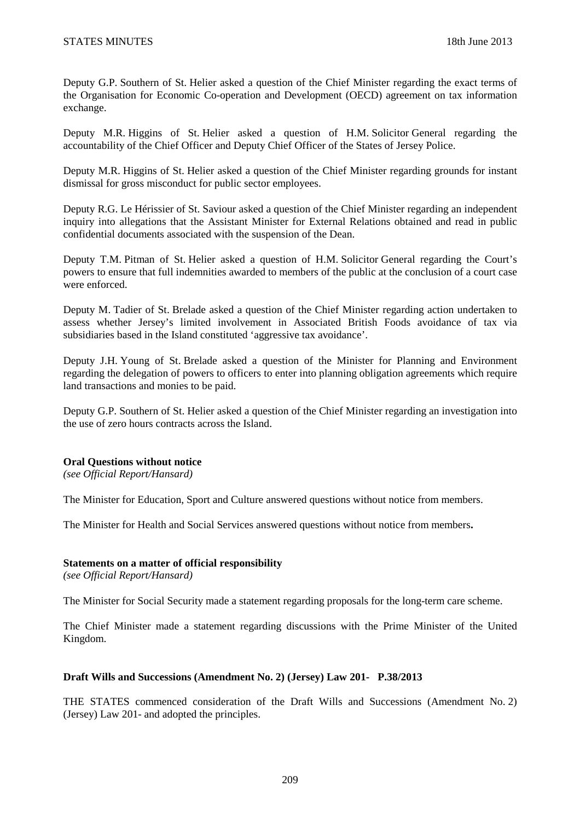Deputy G.P. Southern of St. Helier asked a question of the Chief Minister regarding the exact terms of the Organisation for Economic Co-operation and Development (OECD) agreement on tax information exchange.

Deputy M.R. Higgins of St. Helier asked a question of H.M. Solicitor General regarding the accountability of the Chief Officer and Deputy Chief Officer of the States of Jersey Police.

Deputy M.R. Higgins of St. Helier asked a question of the Chief Minister regarding grounds for instant dismissal for gross misconduct for public sector employees.

Deputy R.G. Le Hérissier of St. Saviour asked a question of the Chief Minister regarding an independent inquiry into allegations that the Assistant Minister for External Relations obtained and read in public confidential documents associated with the suspension of the Dean.

Deputy T.M. Pitman of St. Helier asked a question of H.M. Solicitor General regarding the Court's powers to ensure that full indemnities awarded to members of the public at the conclusion of a court case were enforced.

Deputy M. Tadier of St. Brelade asked a question of the Chief Minister regarding action undertaken to assess whether Jersey's limited involvement in Associated British Foods avoidance of tax via subsidiaries based in the Island constituted 'aggressive tax avoidance'.

Deputy J.H. Young of St. Brelade asked a question of the Minister for Planning and Environment regarding the delegation of powers to officers to enter into planning obligation agreements which require land transactions and monies to be paid.

Deputy G.P. Southern of St. Helier asked a question of the Chief Minister regarding an investigation into the use of zero hours contracts across the Island.

### **Oral Questions without notice**

*(see Official Report/Hansard)* 

The Minister for Education, Sport and Culture answered questions without notice from members.

The Minister for Health and Social Services answered questions without notice from members**.** 

### **Statements on a matter of official responsibility**

*(see Official Report/Hansard)* 

The Minister for Social Security made a statement regarding proposals for the long-term care scheme.

The Chief Minister made a statement regarding discussions with the Prime Minister of the United Kingdom.

## **Draft Wills and Successions (Amendment No. 2) (Jersey) Law 201- P.38/2013**

THE STATES commenced consideration of the Draft Wills and Successions (Amendment No. 2) (Jersey) Law 201- and adopted the principles.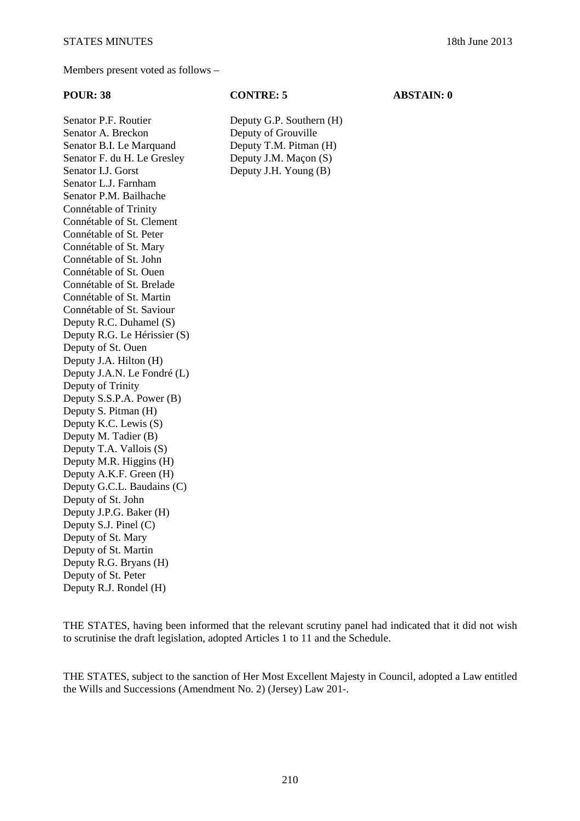Senator P.F. Routier Deputy G.P. Southern (H) Senator A. Breckon Deputy of Grouville Senator B.I. Le Marquand Deputy T.M. Pitman (H) Senator F. du H. Le Gresley Deputy J.M. Macon (S) Senator I.J. Gorst Deputy J.H. Young (B) Senator L.J. Farnham Senator P.M. Bailhache Connétable of Trinity Connétable of St. Clement Connétable of St. Peter Connétable of St. Mary Connétable of St. John Connétable of St. Ouen Connétable of St. Brelade Connétable of St. Martin Connétable of St. Saviour Deputy R.C. Duhamel (S) Deputy R.G. Le Hérissier (S) Deputy of St. Ouen Deputy J.A. Hilton (H) Deputy J.A.N. Le Fondré (L) Deputy of Trinity Deputy S.S.P.A. Power (B) Deputy S. Pitman (H) Deputy K.C. Lewis (S) Deputy M. Tadier (B) Deputy T.A. Vallois (S) Deputy M.R. Higgins (H) Deputy A.K.F. Green (H) Deputy G.C.L. Baudains (C) Deputy of St. John Deputy J.P.G. Baker (H) Deputy S.J. Pinel (C) Deputy of St. Mary Deputy of St. Martin Deputy R.G. Bryans (H) Deputy of St. Peter Deputy R.J. Rondel (H)

THE STATES, having been informed that the relevant scrutiny panel had indicated that it did not wish to scrutinise the draft legislation, adopted Articles 1 to 11 and the Schedule.

THE STATES, subject to the sanction of Her Most Excellent Majesty in Council, adopted a Law entitled the Wills and Successions (Amendment No. 2) (Jersey) Law 201-.

### **POUR: 38 CONTRE: 5 ABSTAIN: 0**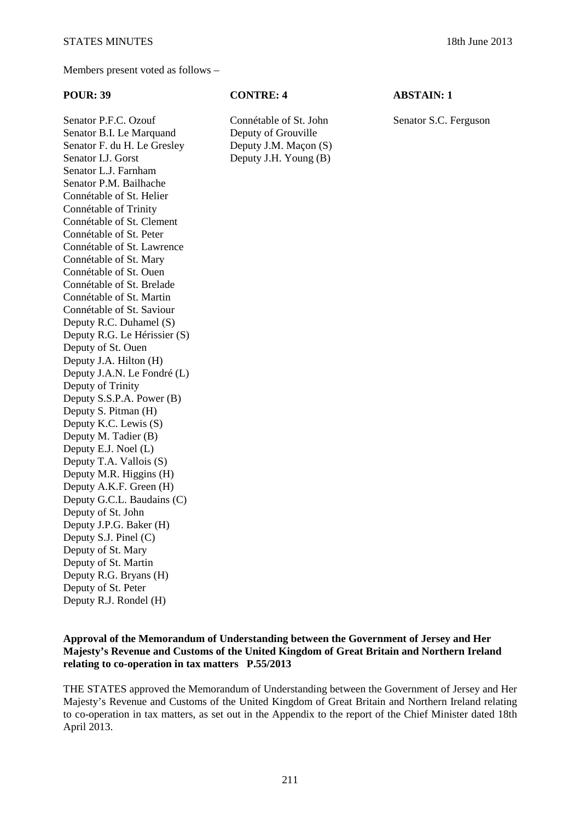Senator P.F.C. Ozouf Connétable of St. John Senator S.C. Ferguson Senator B.I. Le Marquand Deputy of Grouville Senator F. du H. Le Gresley Deputy J.M. Macon (S) Senator I.J. Gorst Deputy J.H. Young (B) Senator L.J. Farnham Senator P.M. Bailhache Connétable of St. Helier Connétable of Trinity Connétable of St. Clement Connétable of St. Peter Connétable of St. Lawrence Connétable of St. Mary Connétable of St. Ouen Connétable of St. Brelade Connétable of St. Martin Connétable of St. Saviour Deputy R.C. Duhamel (S) Deputy R.G. Le Hérissier (S) Deputy of St. Ouen Deputy J.A. Hilton (H) Deputy J.A.N. Le Fondré (L) Deputy of Trinity Deputy S.S.P.A. Power (B) Deputy S. Pitman (H) Deputy K.C. Lewis (S) Deputy M. Tadier (B) Deputy E.J. Noel (L) Deputy T.A. Vallois (S) Deputy M.R. Higgins (H) Deputy A.K.F. Green (H) Deputy G.C.L. Baudains (C) Deputy of St. John Deputy J.P.G. Baker (H) Deputy S.J. Pinel (C) Deputy of St. Mary Deputy of St. Martin Deputy R.G. Bryans (H) Deputy of St. Peter Deputy R.J. Rondel (H)

# **POUR: 39 CONTRE: 4** ABSTAIN: 1

**Approval of the Memorandum of Understanding between the Government of Jersey and Her Majesty's Revenue and Customs of the United Kingdom of Great Britain and Northern Ireland** 

**relating to co-operation in tax matters P.55/2013**

THE STATES approved the Memorandum of Understanding between the Government of Jersey and Her Majesty's Revenue and Customs of the United Kingdom of Great Britain and Northern Ireland relating to co-operation in tax matters, as set out in the Appendix to the report of the Chief Minister dated 18th April 2013.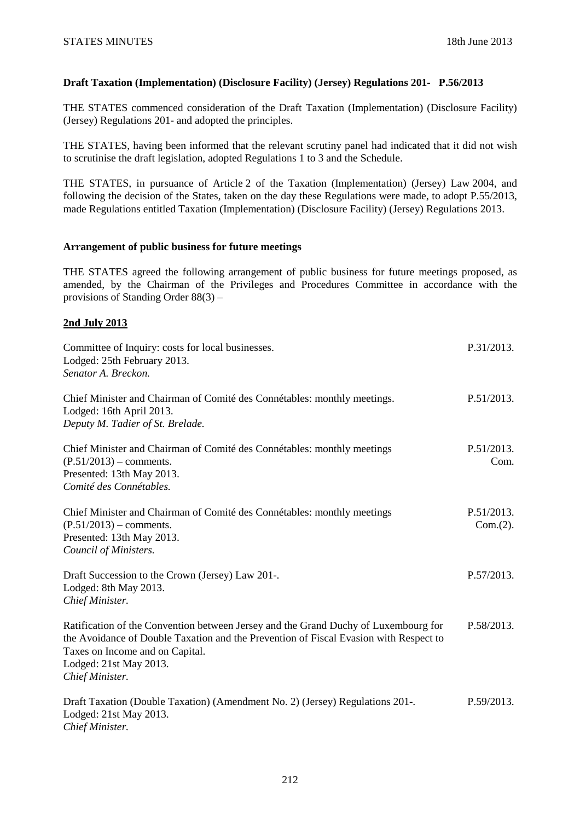# **Draft Taxation (Implementation) (Disclosure Facility) (Jersey) Regulations 201- P.56/2013**

THE STATES commenced consideration of the Draft Taxation (Implementation) (Disclosure Facility) (Jersey) Regulations 201- and adopted the principles.

THE STATES, having been informed that the relevant scrutiny panel had indicated that it did not wish to scrutinise the draft legislation, adopted Regulations 1 to 3 and the Schedule.

THE STATES, in pursuance of Article 2 of the Taxation (Implementation) (Jersey) Law 2004, and following the decision of the States, taken on the day these Regulations were made, to adopt P.55/2013, made Regulations entitled Taxation (Implementation) (Disclosure Facility) (Jersey) Regulations 2013.

### **Arrangement of public business for future meetings**

THE STATES agreed the following arrangement of public business for future meetings proposed, as amended, by the Chairman of the Privileges and Procedures Committee in accordance with the provisions of Standing Order 88(3) –

# **2nd July 2013**

| Committee of Inquiry: costs for local businesses.<br>Lodged: 25th February 2013.<br>Senator A. Breckon.                                                                                                                                                      | P.31/2013.             |
|--------------------------------------------------------------------------------------------------------------------------------------------------------------------------------------------------------------------------------------------------------------|------------------------|
| Chief Minister and Chairman of Comité des Connétables: monthly meetings.<br>Lodged: 16th April 2013.<br>Deputy M. Tadier of St. Brelade.                                                                                                                     | P.51/2013.             |
| Chief Minister and Chairman of Comité des Connétables: monthly meetings<br>$(P.51/2013)$ – comments.<br>Presented: 13th May 2013.<br>Comité des Connétables.                                                                                                 | P.51/2013.<br>Com.     |
| Chief Minister and Chairman of Comité des Connétables: monthly meetings<br>$(P.51/2013)$ – comments.<br>Presented: 13th May 2013.<br>Council of Ministers.                                                                                                   | P.51/2013.<br>Com.(2). |
| Draft Succession to the Crown (Jersey) Law 201-.<br>Lodged: 8th May 2013.<br>Chief Minister.                                                                                                                                                                 | P.57/2013.             |
| Ratification of the Convention between Jersey and the Grand Duchy of Luxembourg for<br>the Avoidance of Double Taxation and the Prevention of Fiscal Evasion with Respect to<br>Taxes on Income and on Capital.<br>Lodged: 21st May 2013.<br>Chief Minister. | P.58/2013.             |
| Draft Taxation (Double Taxation) (Amendment No. 2) (Jersey) Regulations 201-.<br>Lodged: 21st May 2013.<br>Chief Minister.                                                                                                                                   | P.59/2013.             |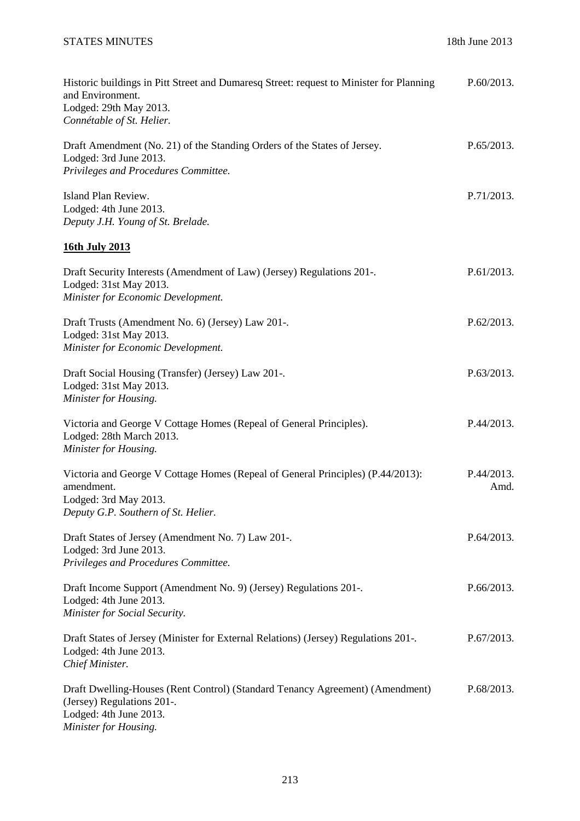| Historic buildings in Pitt Street and Dumaresq Street: request to Minister for Planning<br>and Environment.<br>Lodged: 29th May 2013.<br>Connétable of St. Helier. | P.60/2013.         |
|--------------------------------------------------------------------------------------------------------------------------------------------------------------------|--------------------|
| Draft Amendment (No. 21) of the Standing Orders of the States of Jersey.<br>Lodged: 3rd June 2013.<br>Privileges and Procedures Committee.                         | P.65/2013.         |
| Island Plan Review.<br>Lodged: 4th June 2013.<br>Deputy J.H. Young of St. Brelade.                                                                                 | P.71/2013.         |
| 16th July 2013                                                                                                                                                     |                    |
| Draft Security Interests (Amendment of Law) (Jersey) Regulations 201-.<br>Lodged: 31st May 2013.<br>Minister for Economic Development.                             | P.61/2013.         |
| Draft Trusts (Amendment No. 6) (Jersey) Law 201-.<br>Lodged: 31st May 2013.<br>Minister for Economic Development.                                                  | P.62/2013.         |
| Draft Social Housing (Transfer) (Jersey) Law 201-.<br>Lodged: 31st May 2013.<br>Minister for Housing.                                                              | P.63/2013.         |
| Victoria and George V Cottage Homes (Repeal of General Principles).<br>Lodged: 28th March 2013.<br>Minister for Housing.                                           | P.44/2013.         |
| Victoria and George V Cottage Homes (Repeal of General Principles) (P.44/2013):<br>amendment.<br>Lodged: 3rd May 2013.<br>Deputy G.P. Southern of St. Helier.      | P.44/2013.<br>Amd. |
| Draft States of Jersey (Amendment No. 7) Law 201-.<br>Lodged: 3rd June 2013.<br>Privileges and Procedures Committee.                                               | P.64/2013.         |
| Draft Income Support (Amendment No. 9) (Jersey) Regulations 201-.<br>Lodged: 4th June 2013.<br>Minister for Social Security.                                       | P.66/2013.         |
| Draft States of Jersey (Minister for External Relations) (Jersey) Regulations 201-.<br>Lodged: 4th June 2013.<br>Chief Minister.                                   | P.67/2013.         |
| Draft Dwelling-Houses (Rent Control) (Standard Tenancy Agreement) (Amendment)<br>(Jersey) Regulations 201-.<br>Lodged: 4th June 2013.<br>Minister for Housing.     | P.68/2013.         |